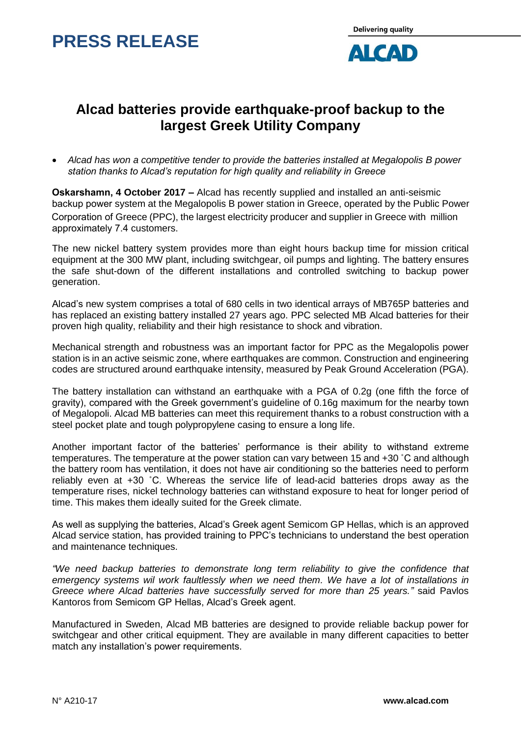## **PRESS RELEASE**



### **Alcad batteries provide earthquake-proof backup to the largest Greek Utility Company**

 *Alcad has won a competitive tender to provide the batteries installed at Megalopolis B power station thanks to Alcad's reputation for high quality and reliability in Greece*

**Oskarshamn, 4 October 2017 –** Alcad has recently supplied and installed an anti-seismic backup power system at the Megalopolis B power station in Greece, operated by the Public Power Corporation of Greece (PPC), the largest electricity producer and supplier in Greece with million approximately 7.4 customers.

The new nickel battery system provides more than eight hours backup time for mission critical equipment at the 300 MW plant, including switchgear, oil pumps and lighting. The battery ensures the safe shut-down of the different installations and controlled switching to backup power generation.

Alcad's new system comprises a total of 680 cells in two identical arrays of MB765P batteries and has replaced an existing battery installed 27 years ago. PPC selected MB Alcad batteries for their proven high quality, reliability and their high resistance to shock and vibration.

Mechanical strength and robustness was an important factor for PPC as the Megalopolis power station is in an active seismic zone, where earthquakes are common. Construction and engineering codes are structured around earthquake intensity, measured by Peak Ground Acceleration (PGA).

The battery installation can withstand an earthquake with a PGA of 0.2g (one fifth the force of gravity), compared with the Greek government's guideline of 0.16g maximum for the nearby town of Megalopoli. Alcad MB batteries can meet this requirement thanks to a robust construction with a steel pocket plate and tough polypropylene casing to ensure a long life.

Another important factor of the batteries' performance is their ability to withstand extreme temperatures. The temperature at the power station can vary between 15 and +30 °C and although the battery room has ventilation, it does not have air conditioning so the batteries need to perform reliably even at +30 ˚C. Whereas the service life of lead-acid batteries drops away as the temperature rises, nickel technology batteries can withstand exposure to heat for longer period of time. This makes them ideally suited for the Greek climate.

As well as supplying the batteries, Alcad's Greek agent Semicom GP Hellas, which is an approved Alcad service station, has provided training to PPC's technicians to understand the best operation and maintenance techniques.

*"We need backup batteries to demonstrate long term reliability to give the confidence that emergency systems wil work faultlessly when we need them. We have a lot of installations in Greece where Alcad batteries have successfully served for more than 25 years."* said Pavlos Kantoros from Semicom GP Hellas, Alcad's Greek agent.

Manufactured in Sweden, Alcad MB batteries are designed to provide reliable backup power for switchgear and other critical equipment. They are available in many different capacities to better match any installation's power requirements.